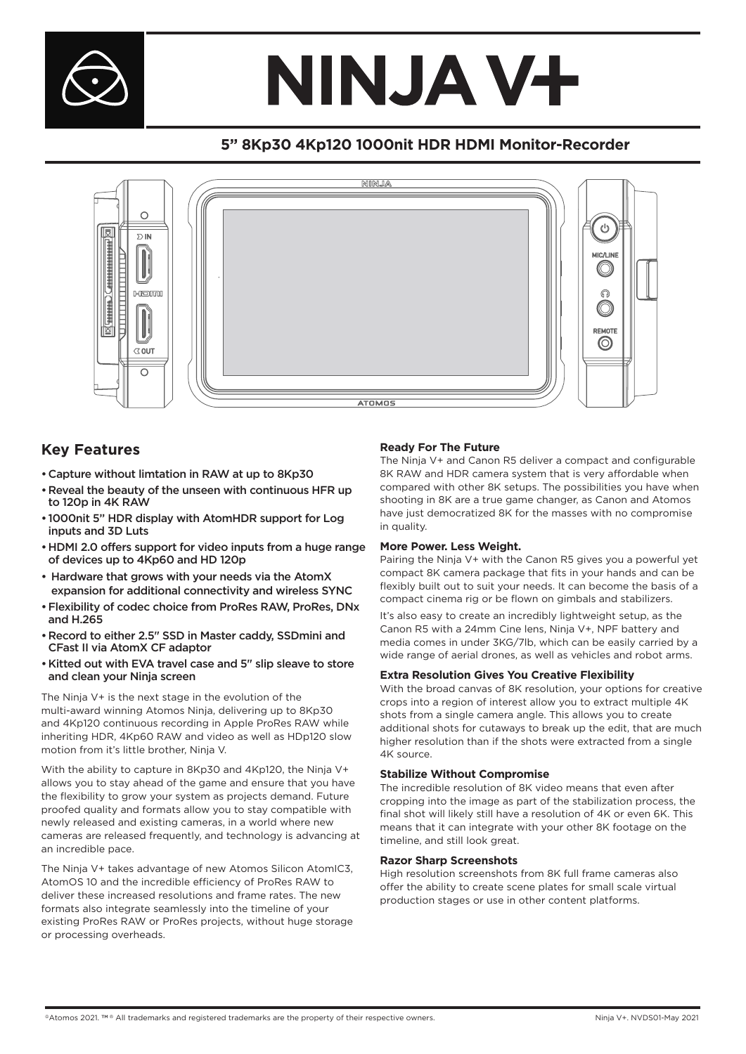

# NINJA V+

## **5" 8Kp30 4Kp120 1000nit HDR HDMI Monitor-Recorder**



### **Key Features**

- •Capture without limtation in RAW at up to 8Kp30
- •Reveal the beauty of the unseen with continuous HFR up to 120p in 4K RAW
- 1000nit 5" HDR display with AtomHDR support for Log inputs and 3D Luts
- •HDMI 2.0 offers support for video inputs from a huge range of devices up to 4Kp60 and HD 120p
- Hardware that grows with your needs via the AtomX expansion for additional connectivity and wireless SYNC
- •Flexibility of codec choice from ProRes RAW, ProRes, DNx and H.265
- •Record to either 2.5" SSD in Master caddy, SSDmini and CFast II via AtomX CF adaptor
- •Kitted out with EVA travel case and 5" slip sleave to store and clean your Ninja screen

The Ninja V+ is the next stage in the evolution of the multi-award winning Atomos Ninja, delivering up to 8Kp30 and 4Kp120 continuous recording in Apple ProRes RAW while inheriting HDR, 4Kp60 RAW and video as well as HDp120 slow motion from it's little brother, Ninja V.

With the ability to capture in 8Kp30 and 4Kp120, the Ninja V+ allows you to stay ahead of the game and ensure that you have the flexibility to grow your system as projects demand. Future proofed quality and formats allow you to stay compatible with newly released and existing cameras, in a world where new cameras are released frequently, and technology is advancing at an incredible pace.

The Ninja V+ takes advantage of new Atomos Silicon AtomIC3, AtomOS 10 and the incredible efficiency of ProRes RAW to deliver these increased resolutions and frame rates. The new formats also integrate seamlessly into the timeline of your existing ProRes RAW or ProRes projects, without huge storage or processing overheads.

#### **Ready For The Future**

The Ninja V+ and Canon R5 deliver a compact and configurable 8K RAW and HDR camera system that is very affordable when compared with other 8K setups. The possibilities you have when shooting in 8K are a true game changer, as Canon and Atomos have just democratized 8K for the masses with no compromise in quality.

#### **More Power. Less Weight.**

Pairing the Ninja V+ with the Canon R5 gives you a powerful yet compact 8K camera package that fits in your hands and can be flexibly built out to suit your needs. It can become the basis of a compact cinema rig or be flown on gimbals and stabilizers.

It's also easy to create an incredibly lightweight setup, as the Canon R5 with a 24mm Cine lens, Ninja V+, NPF battery and media comes in under 3KG/7lb, which can be easily carried by a wide range of aerial drones, as well as vehicles and robot arms.

#### **Extra Resolution Gives You Creative Flexibility**

With the broad canvas of 8K resolution, your options for creative crops into a region of interest allow you to extract multiple 4K shots from a single camera angle. This allows you to create additional shots for cutaways to break up the edit, that are much higher resolution than if the shots were extracted from a single 4K source.

#### **Stabilize Without Compromise**

The incredible resolution of 8K video means that even after cropping into the image as part of the stabilization process, the final shot will likely still have a resolution of 4K or even 6K. This means that it can integrate with your other 8K footage on the timeline, and still look great.

#### **Razor Sharp Screenshots**

High resolution screenshots from 8K full frame cameras also offer the ability to create scene plates for small scale virtual production stages or use in other content platforms.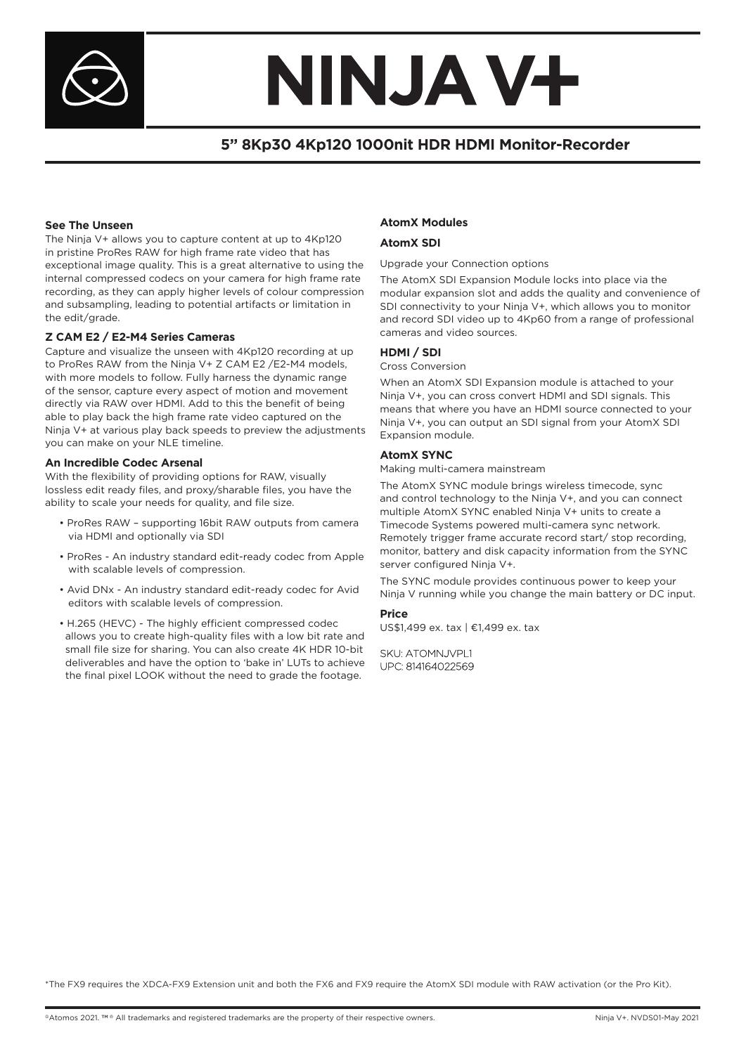

# NINJA V+

## **5" 8Kp30 4Kp120 1000nit HDR HDMI Monitor-Recorder**

#### **See The Unseen**

The Ninja V+ allows you to capture content at up to 4Kp120 in pristine ProRes RAW for high frame rate video that has exceptional image quality. This is a great alternative to using the internal compressed codecs on your camera for high frame rate recording, as they can apply higher levels of colour compression and subsampling, leading to potential artifacts or limitation in the edit/grade.

#### **Z CAM E2 / E2-M4 Series Cameras**

Capture and visualize the unseen with 4Kp120 recording at up to ProRes RAW from the Ninja V+ Z CAM E2 /E2-M4 models, with more models to follow. Fully harness the dynamic range of the sensor, capture every aspect of motion and movement directly via RAW over HDMI. Add to this the benefit of being able to play back the high frame rate video captured on the Ninja V+ at various play back speeds to preview the adjustments you can make on your NLE timeline.

#### **An Incredible Codec Arsenal**

With the flexibility of providing options for RAW, visually lossless edit ready files, and proxy/sharable files, you have the ability to scale your needs for quality, and file size.

- ProRes RAW supporting 16bit RAW outputs from camera via HDMI and optionally via SDI
- ProRes An industry standard edit-ready codec from Apple with scalable levels of compression.
- Avid DNx An industry standard edit-ready codec for Avid editors with scalable levels of compression.
- H.265 (HEVC) The highly efficient compressed codec allows you to create high-quality files with a low bit rate and small file size for sharing. You can also create 4K HDR 10-bit deliverables and have the option to 'bake in' LUTs to achieve the final pixel LOOK without the need to grade the footage.

#### **AtomX Modules**

#### **AtomX SDI**

#### Upgrade your Connection options

The AtomX SDI Expansion Module locks into place via the modular expansion slot and adds the quality and convenience of SDI connectivity to your Ninja V+, which allows you to monitor and record SDI video up to 4Kp60 from a range of professional cameras and video sources.

#### **HDMI / SDI**

#### Cross Conversion

When an AtomX SDI Expansion module is attached to your Ninja V+, you can cross convert HDMI and SDI signals. This means that where you have an HDMI source connected to your Ninja V+, you can output an SDI signal from your AtomX SDI Expansion module.

#### **AtomX SYNC**

Making multi-camera mainstream

The AtomX SYNC module brings wireless timecode, sync and control technology to the Ninja V+, and you can connect multiple AtomX SYNC enabled Ninja V+ units to create a Timecode Systems powered multi-camera sync network. Remotely trigger frame accurate record start/ stop recording, monitor, battery and disk capacity information from the SYNC server configured Ninja V+.

The SYNC module provides continuous power to keep your Ninja V running while you change the main battery or DC input.

#### **Price**

US\$1,499 ex. tax | €1,499 ex. tax

#### SKU: ATOMNJVPL1 UPC: 814164022569

\*The FX9 requires the XDCA-FX9 Extension unit and both the FX6 and FX9 require the AtomX SDI module with RAW activation (or the Pro Kit).